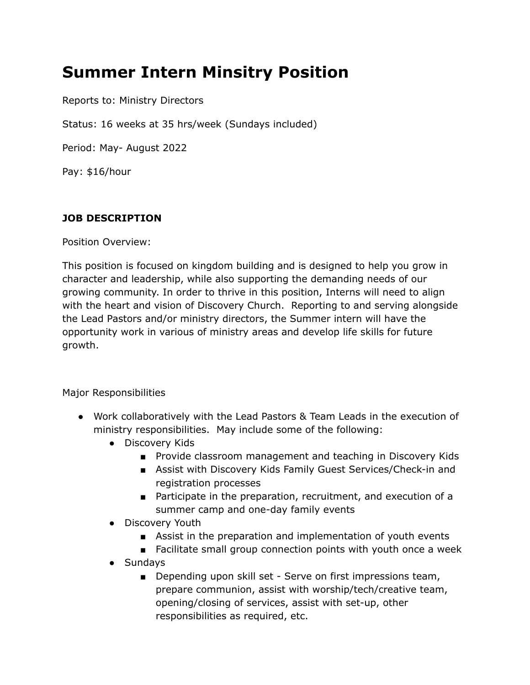# **Summer Intern Minsitry Position**

Reports to: Ministry Directors

Status: 16 weeks at 35 hrs/week (Sundays included)

Period: May- August 2022

Pay: \$16/hour

## **JOB DESCRIPTION**

Position Overview:

This position is focused on kingdom building and is designed to help you grow in character and leadership, while also supporting the demanding needs of our growing community. In order to thrive in this position, Interns will need to align with the heart and vision of Discovery Church. Reporting to and serving alongside the Lead Pastors and/or ministry directors, the Summer intern will have the opportunity work in various of ministry areas and develop life skills for future growth.

Major Responsibilities

- Work collaboratively with the Lead Pastors & Team Leads in the execution of ministry responsibilities. May include some of the following:
	- Discovery Kids
		- Provide classroom management and teaching in Discovery Kids
		- Assist with Discovery Kids Family Guest Services/Check-in and registration processes
		- Participate in the preparation, recruitment, and execution of a summer camp and one-day family events
	- Discovery Youth
		- Assist in the preparation and implementation of youth events
		- Facilitate small group connection points with youth once a week
	- Sundays
		- Depending upon skill set Serve on first impressions team, prepare communion, assist with worship/tech/creative team, opening/closing of services, assist with set-up, other responsibilities as required, etc.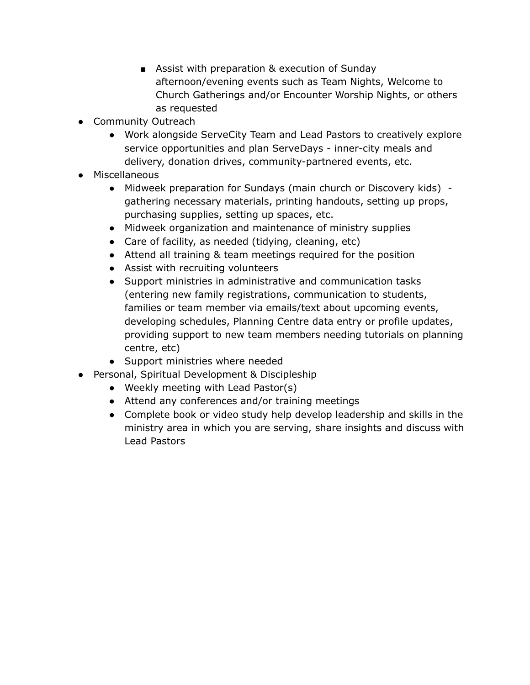- Assist with preparation & execution of Sunday afternoon/evening events such as Team Nights, Welcome to Church Gatherings and/or Encounter Worship Nights, or others as requested
- Community Outreach
	- Work alongside ServeCity Team and Lead Pastors to creatively explore service opportunities and plan ServeDays - inner-city meals and delivery, donation drives, community-partnered events, etc.
- Miscellaneous
	- Midweek preparation for Sundays (main church or Discovery kids) gathering necessary materials, printing handouts, setting up props, purchasing supplies, setting up spaces, etc.
	- Midweek organization and maintenance of ministry supplies
	- Care of facility, as needed (tidying, cleaning, etc)
	- Attend all training & team meetings required for the position
	- Assist with recruiting volunteers
	- Support ministries in administrative and communication tasks (entering new family registrations, communication to students, families or team member via emails/text about upcoming events, developing schedules, Planning Centre data entry or profile updates, providing support to new team members needing tutorials on planning centre, etc)
	- Support ministries where needed
- Personal, Spiritual Development & Discipleship
	- Weekly meeting with Lead Pastor(s)
	- Attend any conferences and/or training meetings
	- Complete book or video study help develop leadership and skills in the ministry area in which you are serving, share insights and discuss with Lead Pastors